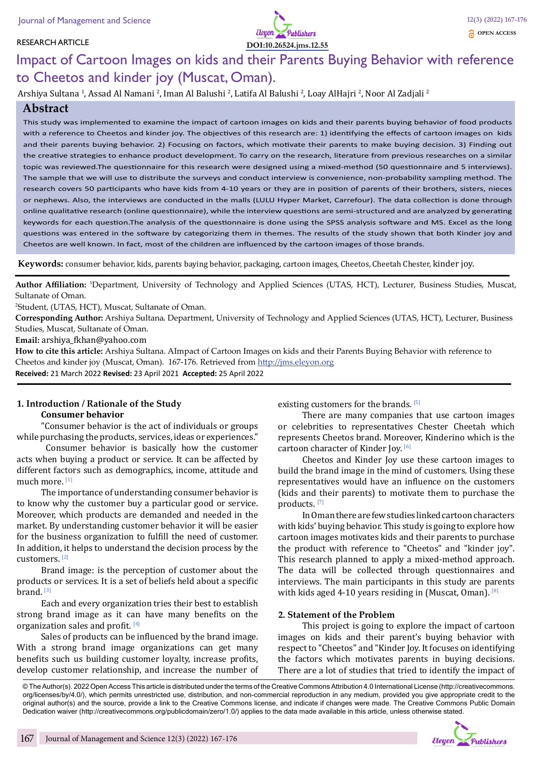#### RESEARCH ARTICLE



# Impact of Cartoon Images on kids and their Parents Buying Behavior with reference to Cheetos and kinder joy (Muscat, Oman).

Arshiya Sultana <sup>1</sup>, Assad Al Namani <sup>2</sup>, Iman Al Balushi <sup>2</sup>, Latifa Al Balushi <sup>2</sup>, Loay AlHajri <sup>2</sup>, Noor Al Zadjali <sup>2</sup>

#### **Abstract**

This study was implemented to examine the impact of cartoon images on kids and their parents buying behavior of food products with a reference to Cheetos and kinder joy. The objectives of this research are: 1) identifying the effects of cartoon images on kids and their parents buying behavior. 2) Focusing on factors, which motivate their parents to make buying decision. 3) Finding out the creative strategies to enhance product development. To carry on the research, literature from previous researches on a similar topic was reviewed.The questionnaire for this research were designed using a mixed-method (50 questionnaire and 5 interviews). The sample that we will use to distribute the surveys and conduct interview is convenience, non-probability sampling method. The research covers 50 participants who have kids from 4-10 years or they are in position of parents of their brothers, sisters, nieces or nephews. Also, the interviews are conducted in the malls (LULU Hyper Market, Carrefour). The data collection is done through online qualitative research (online questionnaire), while the interview questions are semi-structured and are analyzed by generating keywords for each question.The analysis of the questionnaire is done using the SPSS analysis software and MS. Excel as the long questions was entered in the software by categorizing them in themes. The results of the study shown that both Kinder joy and Cheetos are well known. In fact, most of the children are influenced by the cartoon images of those brands.

**Keywords:** consumer behavior, kids, parents baying behavior, packaging, cartoon images, Cheetos, Cheetah Chester, kinder joy.

**Author Affiliation:** <sup>1</sup> Department, University of Technology and Applied Sciences (UTAS, HCT), Lecturer, Business Studies, Muscat, Sultanate of Oman.

2 Student, (UTAS, HCT), Muscat, Sultanate of Oman.

**Corresponding Author:** Arshiya Sultana. Department, University of Technology and Applied Sciences (UTAS, HCT), Lecturer, Business Studies, Muscat, Sultanate of Oman.

**Email:** arshiya\_fkhan@yahoo.com

**How to cite this article:** Arshiya Sultana. AImpact of Cartoon Images on kids and their Parents Buying Behavior with reference to Cheetos and kinder joy (Muscat, Oman). 167-176. Retrieved from http://jms.eleyon.org **Received:** 21 March 2022 **Revised:** 23 April 2021 **Accepted:** 25 April 2022

#### **1. Introduction / Rationale of the Study Consumer behavior**

"Consumer behavior is the act of individuals or groups while purchasing the products, services, ideas or experiences."

 Consumer behavior is basically how the customer acts when buying a product or service. It can be affected by different factors such as demographics, income, attitude and much more.<sup>[1]</sup>

The importance of understanding consumer behavior is to know why the customer buy a particular good or service. Moreover, which products are demanded and needed in the market. By understanding customer behavior it will be easier for the business organization to fulfill the need of customer. In addition, it helps to understand the decision process by the customers. [2]

Brand image: is the perception of customer about the products or services. It is a set of beliefs held about a specific brand. [3]

Each and every organization tries their best to establish strong brand image as it can have many benefits on the organization sales and profit. [4]

Sales of products can be influenced by the brand image. With a strong brand image organizations can get many benefits such us building customer loyalty, increase profits, develop customer relationship, and increase the number of existing customers for the brands. [5]

There are many companies that use cartoon images or celebrities to representatives Chester Cheetah which represents Cheetos brand. Moreover, Kinderino which is the cartoon character of Kinder Joy.<sup>[6]</sup>

Cheetos and Kinder Joy use these cartoon images to build the brand image in the mind of customers. Using these representatives would have an influence on the customers (kids and their parents) to motivate them to purchase the products. [7]

In Oman there are few studies linked cartoon characters with kids' buying behavior. This study is going to explore how cartoon images motivates kids and their parents to purchase the product with reference to "Cheetos" and "kinder joy". This research planned to apply a mixed-method approach. The data will be collected through questionnaires and interviews. The main participants in this study are parents with kids aged 4-10 years residing in (Muscat, Oman). [8]

#### **2. Statement of the Problem**

This project is going to explore the impact of cartoon images on kids and their parent's buying behavior with respect to "Cheetos" and "Kinder Joy. It focuses on identifying the factors which motivates parents in buying decisions. There are a lot of studies that tried to identify the impact of

© The Author(s). 2022 Open Access This article is distributed under the terms of the Creative Commons Attribution 4.0 International License (http://creativecommons. org/licenses/by/4.0/), which permits unrestricted use, distribution, and non-commercial reproduction in any medium, provided you give appropriate credit to the original author(s) and the source, provide a link to the Creative Commons license, and indicate if changes were made. The Creative Commons Public Domain Dedication waiver (http://creativecommons.org/publicdomain/zero/1.0/) applies to the data made available in this article, unless otherwise stated.

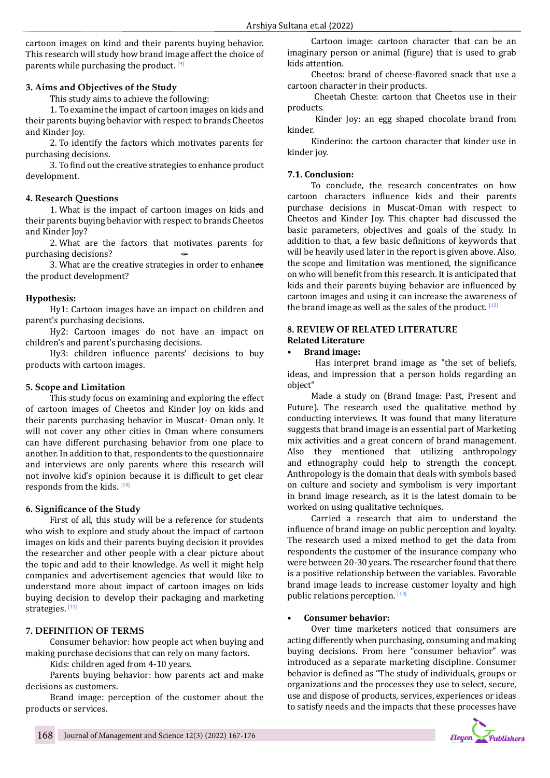cartoon images on kind and their parents buying behavior. This research will study how brand image affect the choice of parents while purchasing the product. [9]

#### **3. Aims and Objectives of the Study**

This study aims to achieve the following:

1. To examine the impact of cartoon images on kids and their parents buying behavior with respect to brands Cheetos and Kinder Joy.

2. To identify the factors which motivates parents for purchasing decisions.

3. To find out the creative strategies to enhance product development.

#### **4. Research Questions**

1. What is the impact of cartoon images on kids and their parents buying behavior with respect to brands Cheetos and Kinder Joy?

2. What are the factors that motivates parents for purchasing decisions?

3. What are the creative strategies in order to enhance the product development?

#### **Hypothesis:**

Hy1: Cartoon images have an impact on children and parent's purchasing decisions.

Hy2: Cartoon images do not have an impact on children's and parent's purchasing decisions.

Hy3: children influence parents' decisions to buy products with cartoon images.

#### **5. Scope and Limitation**

This study focus on examining and exploring the effect of cartoon images of Cheetos and Kinder Joy on kids and their parents purchasing behavior in Muscat- Oman only. It will not cover any other cities in Oman where consumers can have different purchasing behavior from one place to another. In addition to that, respondents to the questionnaire and interviews are only parents where this research will not involve kid's opinion because it is difficult to get clear responds from the kids. [10]

#### **6. Significance of the Study**

First of all, this study will be a reference for students who wish to explore and study about the impact of cartoon images on kids and their parents buying decision it provides the researcher and other people with a clear picture about the topic and add to their knowledge. As well it might help companies and advertisement agencies that would like to understand more about impact of cartoon images on kids buying decision to develop their packaging and marketing strategies. [11]

## **7. DEFINITION OF TERMS**

Consumer behavior: how people act when buying and making purchase decisions that can rely on many factors.

Kids: children aged from 4-10 years.

Parents buying behavior: how parents act and make decisions as customers.

Brand image: perception of the customer about the products or services.

Cartoon image: cartoon character that can be an imaginary person or animal (figure) that is used to grab kids attention.

Cheetos: brand of cheese-flavored snack that use a cartoon character in their products.

 Cheetah Cheste: cartoon that Cheetos use in their products.

 Kinder Joy: an egg shaped chocolate brand from kinder.

Kinderino: the cartoon character that kinder use in kinder joy.

## **7.1. Conclusion:**

To conclude, the research concentrates on how cartoon characters influence kids and their parents purchase decisions in Muscat-Oman with respect to Cheetos and Kinder Joy. This chapter had discussed the basic parameters, objectives and goals of the study. In addition to that, a few basic definitions of keywords that will be heavily used later in the report is given above. Also, the scope and limitation was mentioned, the significance on who will benefit from this research. It is anticipated that kids and their parents buying behavior are influenced by cartoon images and using it can increase the awareness of the brand image as well as the sales of the product.  $[12]$ 

#### **8. REVIEW OF RELATED LITERATURE Related Literature**

#### **• Brand image:**

 Has interpret brand image as "the set of beliefs, ideas, and impression that a person holds regarding an object"

Made a study on (Brand Image: Past, Present and Future). The research used the qualitative method by conducting interviews. It was found that many literature suggests that brand image is an essential part of Marketing mix activities and a great concern of brand management. Also they mentioned that utilizing anthropology and ethnography could help to strength the concept. Anthropology is the domain that deals with symbols based on culture and society and symbolism is very important in brand image research, as it is the latest domain to be worked on using qualitative techniques.

Carried a research that aim to understand the influence of brand image on public perception and loyalty. The research used a mixed method to get the data from respondents the customer of the insurance company who were between 20-30 years. The researcher found that there is a positive relationship between the variables. Favorable brand image leads to increase customer loyalty and high public relations perception. [13]

## **• Consumer behavior:**

Over time marketers noticed that consumers are acting differently when purchasing, consuming and making buying decisions. From here "consumer behavior" was introduced as a separate marketing discipline. Consumer behavior is defined as "The study of individuals, groups or organizations and the processes they use to select, secure, use and dispose of products, services, experiences or ideas to satisfy needs and the impacts that these processes have

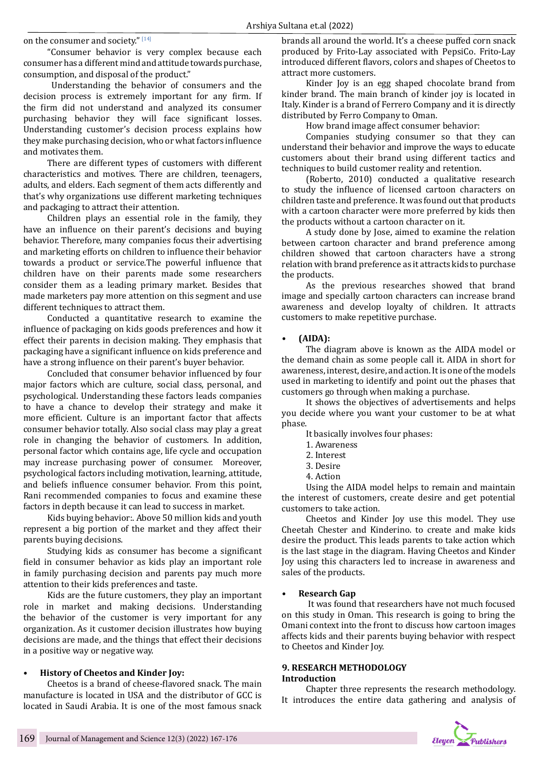on the consumer and society."  $^{\rm [14]}$ 

"Consumer behavior is very complex because each consumer has a different mind and attitude towards purchase, consumption, and disposal of the product."

 Understanding the behavior of consumers and the decision process is extremely important for any firm. If the firm did not understand and analyzed its consumer purchasing behavior they will face significant losses. Understanding customer's decision process explains how they make purchasing decision, who or what factors influence and motivates them.

There are different types of customers with different characteristics and motives. There are children, teenagers, adults, and elders. Each segment of them acts differently and that's why organizations use different marketing techniques and packaging to attract their attention.

Children plays an essential role in the family, they have an influence on their parent's decisions and buying behavior. Therefore, many companies focus their advertising and marketing efforts on children to influence their behavior towards a product or service.The powerful influence that children have on their parents made some researchers consider them as a leading primary market. Besides that made marketers pay more attention on this segment and use different techniques to attract them.

Conducted a quantitative research to examine the influence of packaging on kids goods preferences and how it effect their parents in decision making. They emphasis that packaging have a significant influence on kids preference and have a strong influence on their parent's buyer behavior.

Concluded that consumer behavior influenced by four major factors which are culture, social class, personal, and psychological. Understanding these factors leads companies to have a chance to develop their strategy and make it more efficient. Culture is an important factor that affects consumer behavior totally. Also social class may play a great role in changing the behavior of customers. In addition, personal factor which contains age, life cycle and occupation may increase purchasing power of consumer. Moreover, psychological factors including motivation, learning, attitude, and beliefs influence consumer behavior. From this point, Rani recommended companies to focus and examine these factors in depth because it can lead to success in market.

Kids buying behavior:. Above 50 million kids and youth represent a big portion of the market and they affect their parents buying decisions.

Studying kids as consumer has become a significant field in consumer behavior as kids play an important role in family purchasing decision and parents pay much more attention to their kids preferences and taste.

Kids are the future customers, they play an important role in market and making decisions. Understanding the behavior of the customer is very important for any organization. As it customer decision illustrates how buying decisions are made, and the things that effect their decisions in a positive way or negative way.

#### **• History of Cheetos and Kinder Joy:**

Cheetos is a brand of cheese-flavored snack. The main manufacture is located in USA and the distributor of GCC is located in Saudi Arabia. It is one of the most famous snack brands all around the world. It's a cheese puffed corn snack produced by Frito-Lay associated with PepsiCo. Frito-Lay introduced different flavors, colors and shapes of Cheetos to attract more customers.

Kinder Joy is an egg shaped chocolate brand from kinder brand. The main branch of kinder joy is located in Italy. Kinder is a brand of Ferrero Company and it is directly distributed by Ferro Company to Oman.

How brand image affect consumer behavior:

Companies studying consumer so that they can understand their behavior and improve the ways to educate customers about their brand using different tactics and techniques to build customer reality and retention.

(Roberto, 2010) conducted a qualitative research to study the influence of licensed cartoon characters on children taste and preference. It was found out that products with a cartoon character were more preferred by kids then the products without a cartoon character on it.

A study done by Jose, aimed to examine the relation between cartoon character and brand preference among children showed that cartoon characters have a strong relation with brand preference as it attracts kids to purchase the products.

As the previous researches showed that brand image and specially cartoon characters can increase brand awareness and develop loyalty of children. It attracts customers to make repetitive purchase.

#### **• (AIDA):**

The diagram above is known as the AIDA model or the demand chain as some people call it. AIDA in short for awareness, interest, desire, and action. It is one of the models used in marketing to identify and point out the phases that customers go through when making a purchase.

It shows the objectives of advertisements and helps you decide where you want your customer to be at what phase.

It basically involves four phases:

- 1. Awareness
- 2. Interest
- 3. Desire
- 4. Action

Using the AIDA model helps to remain and maintain the interest of customers, create desire and get potential customers to take action.

Cheetos and Kinder Joy use this model. They use Cheetah Chester and Kinderino. to create and make kids desire the product. This leads parents to take action which is the last stage in the diagram. Having Cheetos and Kinder Joy using this characters led to increase in awareness and sales of the products.

#### **• Research Gap**

 It was found that researchers have not much focused on this study in Oman. This research is going to bring the Omani context into the front to discuss how cartoon images affects kids and their parents buying behavior with respect to Cheetos and Kinder Joy.

#### **9. RESEARCH METHODOLOGY Introduction**

Chapter three represents the research methodology. It introduces the entire data gathering and analysis of

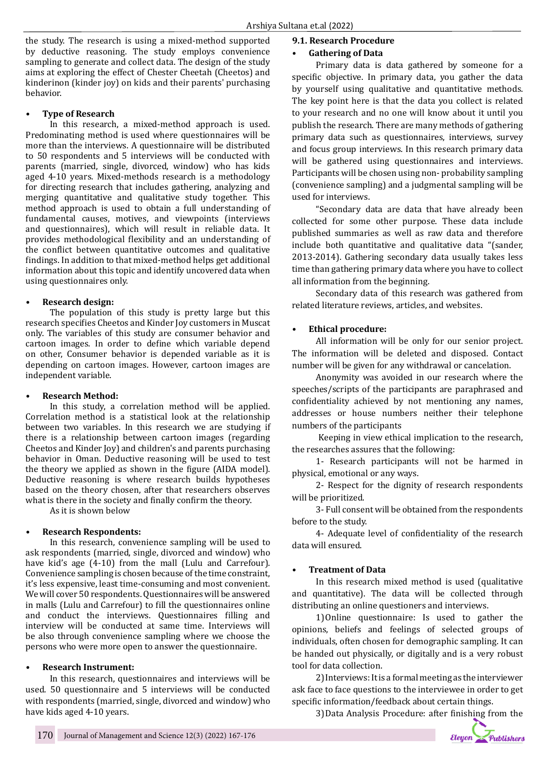the study. The research is using a mixed-method supported by deductive reasoning. The study employs convenience sampling to generate and collect data. The design of the study aims at exploring the effect of Chester Cheetah (Cheetos) and kinderinon (kinder joy) on kids and their parents' purchasing behavior.

#### **• Type of Research**

In this research, a mixed-method approach is used. Predominating method is used where questionnaires will be more than the interviews. A questionnaire will be distributed to 50 respondents and 5 interviews will be conducted with parents (married, single, divorced, window) who has kids aged 4-10 years. Mixed-methods research is a methodology for directing research that includes gathering, analyzing and merging quantitative and qualitative study together. This method approach is used to obtain a full understanding of fundamental causes, motives, and viewpoints (interviews and questionnaires), which will result in reliable data. It provides methodological flexibility and an understanding of the conflict between quantitative outcomes and qualitative findings. In addition to that mixed-method helps get additional information about this topic and identify uncovered data when using questionnaires only.

#### **• Research design:**

The population of this study is pretty large but this research specifies Cheetos and Kinder Joy customers in Muscat only. The variables of this study are consumer behavior and cartoon images. In order to define which variable depend on other, Consumer behavior is depended variable as it is depending on cartoon images. However, cartoon images are independent variable.

## **• Research Method:**

In this study, a correlation method will be applied. Correlation method is a statistical look at the relationship between two variables. In this research we are studying if there is a relationship between cartoon images (regarding Cheetos and Kinder Joy) and children's and parents purchasing behavior in Oman. Deductive reasoning will be used to test the theory we applied as shown in the figure (AIDA model). Deductive reasoning is where research builds hypotheses based on the theory chosen, after that researchers observes what is there in the society and finally confirm the theory.

As it is shown below

## **• Research Respondents:**

In this research, convenience sampling will be used to ask respondents (married, single, divorced and window) who have kid's age (4-10) from the mall (Lulu and Carrefour). Convenience sampling is chosen because of the time constraint, it's less expensive, least time-consuming and most convenient. We will cover 50 respondents. Questionnaires will be answered in malls (Lulu and Carrefour) to fill the questionnaires online and conduct the interviews. Questionnaires filling and interview will be conducted at same time. Interviews will be also through convenience sampling where we choose the persons who were more open to answer the questionnaire.

## **• Research Instrument:**

In this research, questionnaires and interviews will be used. 50 questionnaire and 5 interviews will be conducted with respondents (married, single, divorced and window) who have kids aged 4-10 years.

#### **9.1. Research Procedure**

#### **• Gathering of Data**

Primary data is data gathered by someone for a specific objective. In primary data, you gather the data by yourself using qualitative and quantitative methods. The key point here is that the data you collect is related to your research and no one will know about it until you publish the research. There are many methods of gathering primary data such as questionnaires, interviews, survey and focus group interviews. In this research primary data will be gathered using questionnaires and interviews. Participants will be chosen using non- probability sampling (convenience sampling) and a judgmental sampling will be used for interviews.

"Secondary data are data that have already been collected for some other purpose. These data include published summaries as well as raw data and therefore include both quantitative and qualitative data "(sander, 2013-2014). Gathering secondary data usually takes less time than gathering primary data where you have to collect all information from the beginning.

Secondary data of this research was gathered from related literature reviews, articles, and websites.

## **• Ethical procedure:**

All information will be only for our senior project. The information will be deleted and disposed. Contact number will be given for any withdrawal or cancelation.

Anonymity was avoided in our research where the speeches/scripts of the participants are paraphrased and confidentiality achieved by not mentioning any names, addresses or house numbers neither their telephone numbers of the participants

 Keeping in view ethical implication to the research, the researches assures that the following:

1- Research participants will not be harmed in physical, emotional or any ways.

2- Respect for the dignity of research respondents will be prioritized.

3- Full consent will be obtained from the respondents before to the study.

4- Adequate level of confidentiality of the research data will ensured.

## **• Treatment of Data**

In this research mixed method is used (qualitative and quantitative). The data will be collected through distributing an online questioners and interviews.

1)Online questionnaire: Is used to gather the opinions, beliefs and feelings of selected groups of individuals, often chosen for demographic sampling. It can be handed out physically, or digitally and is a very robust tool for data collection.

2)Interviews: It is a formal meeting as the interviewer ask face to face questions to the interviewee in order to get specific information/feedback about certain things.

3)Data Analysis Procedure: after finishing from the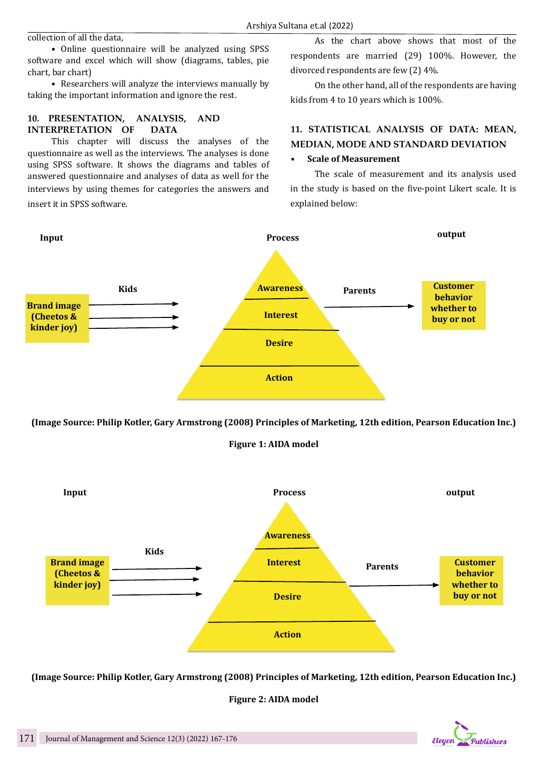collection of all the data,

• Online questionnaire will be analyzed using SPSS software and excel which will show (diagrams, tables, pie chart, bar chart)

• Researchers will analyze the interviews manually by taking the important information and ignore the rest.

## **10. PRESENTATION, ANALYSIS, AND INTERPRETATION OF DATA**

This chapter will discuss the analyses of the questionnaire as well as the interviews. The analyses is done using SPSS software. It shows the diagrams and tables of answered questionnaire and analyses of data as well for the interviews by using themes for categories the answers and insert it in SPSS software.

As the chart above shows that most of the respondents are married (29) 100%. However, the divorced respondents are few (2) 4%.

On the other hand, all of the respondents are having kids from 4 to 10 years which is 100%.

## **11. STATISTICAL ANALYSIS OF DATA: MEAN, MEDIAN, MODE AND STANDARD DEVIATION**

## **• Scale of Measurement**

The scale of measurement and its analysis used in the study is based on the five-point Likert scale. It is explained below:



**(Image Source: Philip Kotler, Gary Armstrong (2008) Principles of Marketing, 12th edition, Pearson Education Inc.)**

## **Figure 1: AIDA model**



**(Image Source: Philip Kotler, Gary Armstrong (2008) Principles of Marketing, 12th edition, Pearson Education Inc.)**

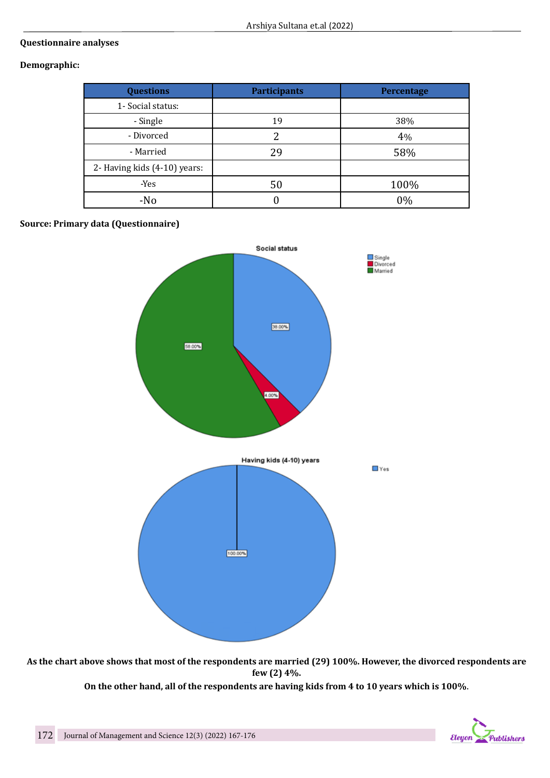## **Questionnaire analyses**

## **Demographic:**

| <b>Questions</b>             | <b>Participants</b> | <b>Percentage</b> |
|------------------------------|---------------------|-------------------|
| 1- Social status:            |                     |                   |
| - Single                     | 19                  | 38%               |
| - Divorced                   |                     | 4%                |
| - Married                    | 29                  | 58%               |
| 2- Having kids (4-10) years: |                     |                   |
| -Yes                         | 50                  | 100%              |
| $-N0$                        |                     | 0%                |

## **Source: Primary data (Questionnaire)**



**As the chart above shows that most of the respondents are married (29) 100%. However, the divorced respondents are few (2) 4%.**

**On the other hand, all of the respondents are having kids from 4 to 10 years which is 100%**.

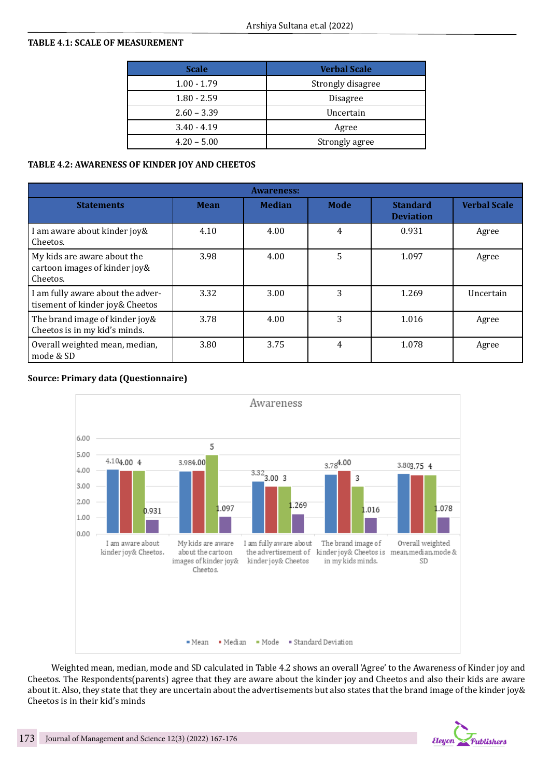## **TABLE 4.1: SCALE OF MEASUREMENT**

| <b>Scale</b>  | <b>Verbal Scale</b> |  |  |
|---------------|---------------------|--|--|
| $1.00 - 1.79$ | Strongly disagree   |  |  |
| $1.80 - 2.59$ | <b>Disagree</b>     |  |  |
| $2.60 - 3.39$ | Uncertain           |  |  |
| $3.40 - 4.19$ | Agree               |  |  |
| $4.20 - 5.00$ | Strongly agree      |  |  |

## **TABLE 4.2: AWARENESS OF KINDER JOY AND CHEETOS**

| <b>Awareness:</b>                                                        |             |               |             |                                     |                     |  |  |  |
|--------------------------------------------------------------------------|-------------|---------------|-------------|-------------------------------------|---------------------|--|--|--|
| <b>Statements</b>                                                        | <b>Mean</b> | <b>Median</b> | <b>Mode</b> | <b>Standard</b><br><b>Deviation</b> | <b>Verbal Scale</b> |  |  |  |
| I am aware about kinder joy&<br>Cheetos.                                 | 4.10        | 4.00          | 4           | 0.931                               | Agree               |  |  |  |
| My kids are aware about the<br>cartoon images of kinder joy&<br>Cheetos. | 3.98        | 4.00          | 5           | 1.097                               | Agree               |  |  |  |
| I am fully aware about the adver-<br>tisement of kinder joy& Cheetos     | 3.32        | 3.00          | 3           | 1.269                               | Uncertain           |  |  |  |
| The brand image of kinder joy&<br>Cheetos is in my kid's minds.          | 3.78        | 4.00          | 3           | 1.016                               | Agree               |  |  |  |
| Overall weighted mean, median,<br>mode & SD                              | 3.80        | 3.75          | 4           | 1.078                               | Agree               |  |  |  |

## **Source: Primary data (Questionnaire)**



Weighted mean, median, mode and SD calculated in Table 4.2 shows an overall 'Agree' to the Awareness of Kinder joy and Cheetos. The Respondents(parents) agree that they are aware about the kinder joy and Cheetos and also their kids are aware about it. Also, they state that they are uncertain about the advertisements but also states that the brand image of the kinder joy& Cheetos is in their kid's minds

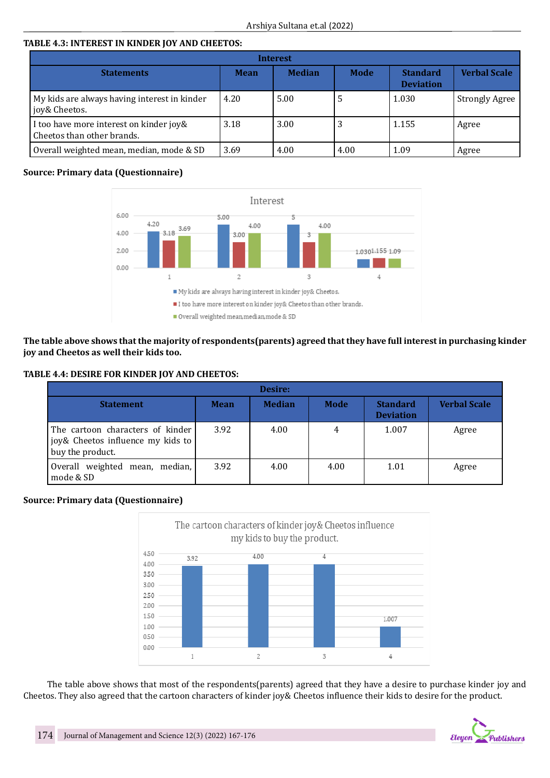## **TABLE 4.3: INTEREST IN KINDER JOY AND CHEETOS:**

| Interest                                                              |             |               |      |                                     |                       |  |
|-----------------------------------------------------------------------|-------------|---------------|------|-------------------------------------|-----------------------|--|
| <b>Statements</b>                                                     | <b>Mean</b> | <b>Median</b> | Mode | <b>Standard</b><br><b>Deviation</b> | <b>Verbal Scale</b>   |  |
| My kids are always having interest in kinder<br>joy& Cheetos.         | 4.20        | 5.00          | C    | 1.030                               | <b>Strongly Agree</b> |  |
| I too have more interest on kinder joy&<br>Cheetos than other brands. | 3.18        | 3.00          | 3    | 1.155                               | Agree                 |  |
| Overall weighted mean, median, mode & SD                              | 3.69        | 4.00          | 4.00 | 1.09                                | Agree                 |  |

## **Source: Primary data (Questionnaire)**



**The table above shows that the majority of respondents(parents) agreed that they have full interest in purchasing kinder joy and Cheetos as well their kids too.**

#### **TABLE 4.4: DESIRE FOR KINDER JOY AND CHEETOS:**

| Desire:                                                                                   |             |               |      |                                     |                     |  |  |
|-------------------------------------------------------------------------------------------|-------------|---------------|------|-------------------------------------|---------------------|--|--|
| <b>Statement</b>                                                                          | <b>Mean</b> | <b>Median</b> | Mode | <b>Standard</b><br><b>Deviation</b> | <b>Verbal Scale</b> |  |  |
| The cartoon characters of kinder<br>joy& Cheetos influence my kids to<br>buy the product. | 3.92        | 4.00          | 4    | 1.007                               | Agree               |  |  |
| Overall weighted mean, median,<br>mode & SD                                               | 3.92        | 4.00          | 4.00 | 1.01                                | Agree               |  |  |

## **Source: Primary data (Questionnaire)**



The table above shows that most of the respondents(parents) agreed that they have a desire to purchase kinder joy and Cheetos. They also agreed that the cartoon characters of kinder joy& Cheetos influence their kids to desire for the product.

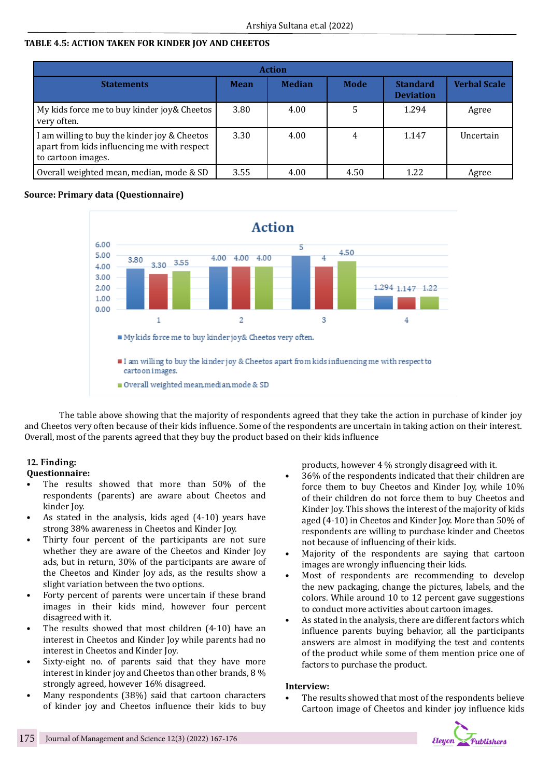## **TABLE 4.5: ACTION TAKEN FOR KINDER JOY AND CHEETOS**

| <b>Action</b>                                                                                                     |             |               |      |                                     |                     |  |
|-------------------------------------------------------------------------------------------------------------------|-------------|---------------|------|-------------------------------------|---------------------|--|
| <b>Statements</b>                                                                                                 | <b>Mean</b> | <b>Median</b> | Mode | <b>Standard</b><br><b>Deviation</b> | <b>Verbal Scale</b> |  |
| My kids force me to buy kinder joy& Cheetos<br>very often.                                                        | 3.80        | 4.00          |      | 1.294                               | Agree               |  |
| I am willing to buy the kinder joy & Cheetos<br>apart from kids influencing me with respect<br>to cartoon images. | 3.30        | 4.00          |      | 1.147                               | Uncertain           |  |
| Overall weighted mean, median, mode & SD                                                                          | 3.55        | 4.00          | 4.50 | 1.22                                | Agree               |  |

## **Source: Primary data (Questionnaire)**



The table above showing that the majority of respondents agreed that they take the action in purchase of kinder joy and Cheetos very often because of their kids influence. Some of the respondents are uncertain in taking action on their interest. Overall, most of the parents agreed that they buy the product based on their kids influence

## **12. Finding:**

## **Questionnaire:**

- The results showed that more than 50% of the respondents (parents) are aware about Cheetos and kinder Joy.
- As stated in the analysis, kids aged (4-10) years have strong 38% awareness in Cheetos and Kinder Joy.
- Thirty four percent of the participants are not sure whether they are aware of the Cheetos and Kinder Joy ads, but in return, 30% of the participants are aware of the Cheetos and Kinder Joy ads, as the results show a slight variation between the two options.
- Forty percent of parents were uncertain if these brand images in their kids mind, however four percent disagreed with it.
- The results showed that most children (4-10) have an interest in Cheetos and Kinder Joy while parents had no interest in Cheetos and Kinder Joy.
- Sixty-eight no. of parents said that they have more interest in kinder joy and Cheetos than other brands, 8 % strongly agreed, however 16% disagreed.
- Many respondents (38%) said that cartoon characters of kinder joy and Cheetos influence their kids to buy

products, however 4 % strongly disagreed with it.

- 36% of the respondents indicated that their children are force them to buy Cheetos and Kinder Joy, while 10% of their children do not force them to buy Cheetos and Kinder Joy. This shows the interest of the majority of kids aged (4-10) in Cheetos and Kinder Joy. More than 50% of respondents are willing to purchase kinder and Cheetos not because of influencing of their kids.
- Majority of the respondents are saying that cartoon images are wrongly influencing their kids.
- Most of respondents are recommending to develop the new packaging, change the pictures, labels, and the colors. While around 10 to 12 percent gave suggestions to conduct more activities about cartoon images.
- As stated in the analysis, there are different factors which influence parents buying behavior, all the participants answers are almost in modifying the test and contents of the product while some of them mention price one of factors to purchase the product.

#### **Interview:**

The results showed that most of the respondents believe Cartoon image of Cheetos and kinder joy influence kids